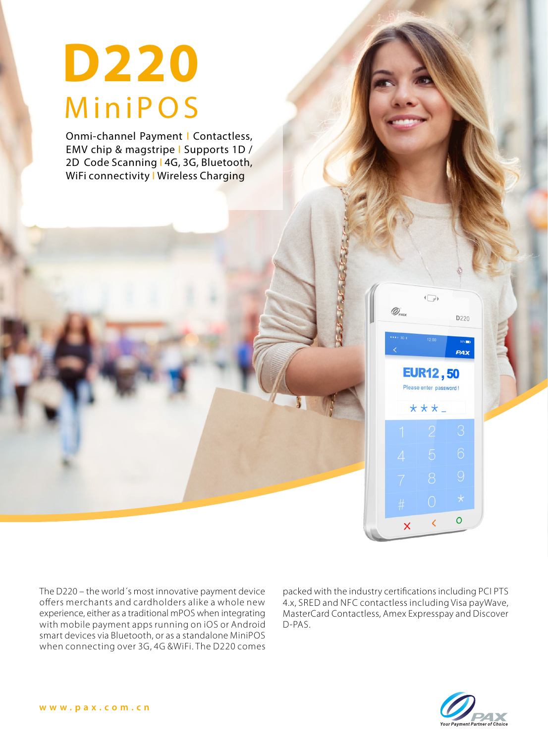# **MiniPOS D220**

Onmi-channel Payment | Contactless, EMV chip & magstripe | Supports 1D / 2D Code Scanning | 4G, 3G, Bluetooth, WiFi connectivity I Wireless Charging

The D220 – the world´s most innovative payment device offers merchants and cardholders alike a whole new experience, either as a traditional mPOS when integrating with mobile payment apps running on iOS or Android smart devices via Bluetooth, or as a standalone MiniPOS when connecting over 3G, 4G &WiFi. The D220 comes

packed with the industry certifications including PCI PTS 4.x, SRED and NFC contactless including Visa payWave, MasterCard Contactless, Amex Expresspay and Discover D-PAS.

 $\overline{\mathsf{x}}$ 

 $\sqrt{\sqrt{}}$ 

**EUR12,50** Please enter password!

 $***-$ 

D<sub>220</sub>

PAX

 $\circ$ 

 $\epsilon$ 

 $\mathscr{D}_{\scriptscriptstyle{\mathrm{P}}\scriptscriptstyle{\mathrm{A}}}$